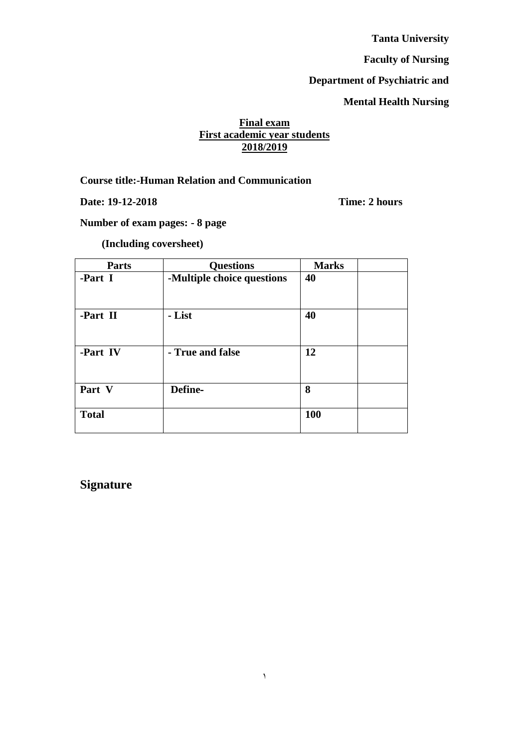**Tanta University**

**Faculty of Nursing**

# **Department of Psychiatric and**

# **Mental Health Nursing**

# **Final exam First academic year students 2018/2019**

**Course title:-Human Relation and Communication** 

**Date: 19-12-2018 Time: 2 hours**

**Number of exam pages: - 8 page**

**(Including coversheet)** 

| <b>Parts</b> | <b>Questions</b>           | <b>Marks</b> |
|--------------|----------------------------|--------------|
| -Part I      | -Multiple choice questions | 40           |
| -Part II     | - List                     | 40           |
| -Part IV     | - True and false           | 12           |
| Part V       | Define-                    | 8            |
| <b>Total</b> |                            | <b>100</b>   |

**Signature**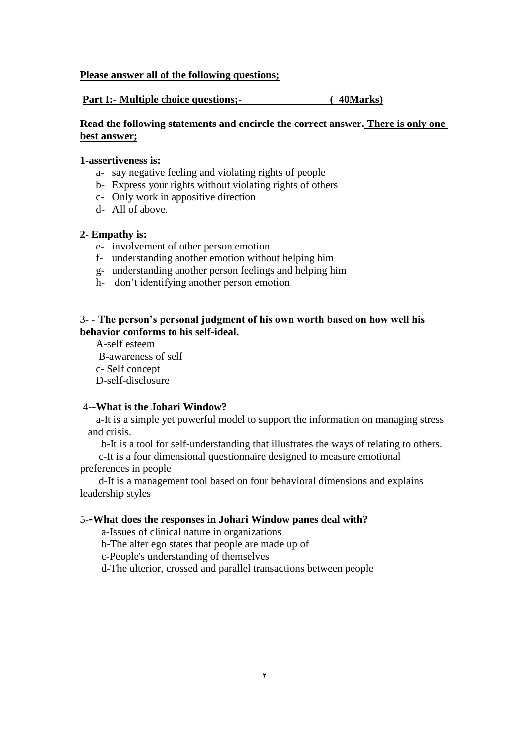#### **Please answer all of the following questions;**

#### **Part I:- Multiple choice questions;- ( 40Marks)**

#### **Read the following statements and encircle the correct answer. There is only one best answer;**

#### **1-assertiveness is:**

- a- say negative feeling and violating rights of people
- b- Express your rights without violating rights of others
- c- Only work in appositive direction
- d- All of above.

#### **2- Empathy is:**

- e- involvement of other person emotion
- f- understanding another emotion without helping him
- g- understanding another person feelings and helping him
- h- don't identifying another person emotion

#### 3**- - The person's personal judgment of his own worth based on how well his behavior conforms to his self-ideal.**

A-self esteem B-awareness of self c- Self concept D-self-disclosure

#### 4-**-What is the Johari Window?**

 a-It is a simple yet powerful model to support the information on managing stress and crisis.

b-It is a tool for self-understanding that illustrates the ways of relating to others.

 c-It is a four dimensional questionnaire designed to measure emotional preferences in people

 d-It is a management tool based on four behavioral dimensions and explains leadership styles

#### 5-**-What does the responses in Johari Window panes deal with?**

a-Issues of clinical nature in organizations

b-The alter ego states that people are made up of

c-People's understanding of themselves

d-The ulterior, crossed and parallel transactions between people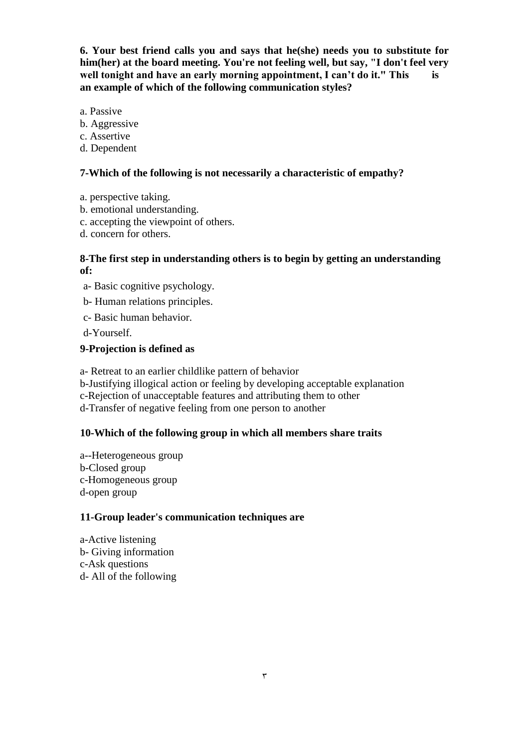**6. Your best friend calls you and says that he(she) needs you to substitute for him(her) at the board meeting. You're not feeling well, but say, "I don't feel very well tonight and have an early morning appointment, I can't do it." This is an example of which of the following communication styles?**

- a. Passive
- b. Aggressive
- c. Assertive
- d. Dependent

#### **7-Which of the following is not necessarily a characteristic of empathy?**

- a. perspective taking.
- b. emotional understanding.
- c. accepting the viewpoint of others.
- d. concern for others.

### **8-The first step in understanding others is to begin by getting an understanding of:**

- a- Basic cognitive psychology.
- b- Human relations principles.
- c- Basic human behavior.
- d-Yourself.

# **9-Projection is defined as**

a- Retreat to an earlier childlike pattern of behavior

- b-Justifying illogical action or feeling by developing acceptable explanation
- c-Rejection of unacceptable features and attributing them to other
- d-Transfer of negative feeling from one person to another

# **10-Which of the following group in which all members share traits**

a--Heterogeneous group b-Closed group c-Homogeneous group d-open group

# **11-Group leader's communication techniques are**

a-Active listening b- Giving information c-Ask questions d- All of the following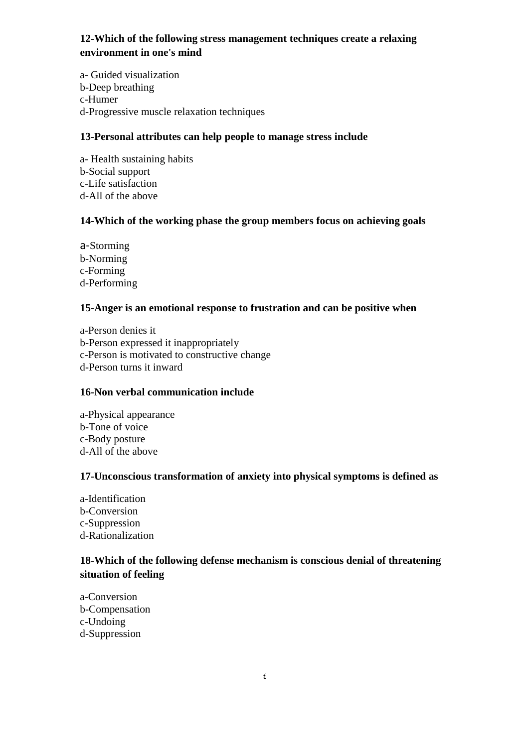# **12-Which of the following stress management techniques create a relaxing environment in one's mind**

a- Guided visualization b-Deep breathing c-Humer d-Progressive muscle relaxation techniques

#### **13-Personal attributes can help people to manage stress include**

a- Health sustaining habits b-Social support c-Life satisfaction d-All of the above

# **14-Which of the working phase the group members focus on achieving goals**

a-Storming b-Norming c-Forming d-Performing

#### **15-Anger is an emotional response to frustration and can be positive when**

a-Person denies it b-Person expressed it inappropriately c-Person is motivated to constructive change d-Person turns it inward

#### **16-Non verbal communication include**

a-Physical appearance b-Tone of voice c-Body posture d-All of the above

#### **17-Unconscious transformation of anxiety into physical symptoms is defined as**

a-Identification b-Conversion c-Suppression d-Rationalization

# **18-Which of the following defense mechanism is conscious denial of threatening situation of feeling**

a-Conversion b-Compensation c-Undoing d-Suppression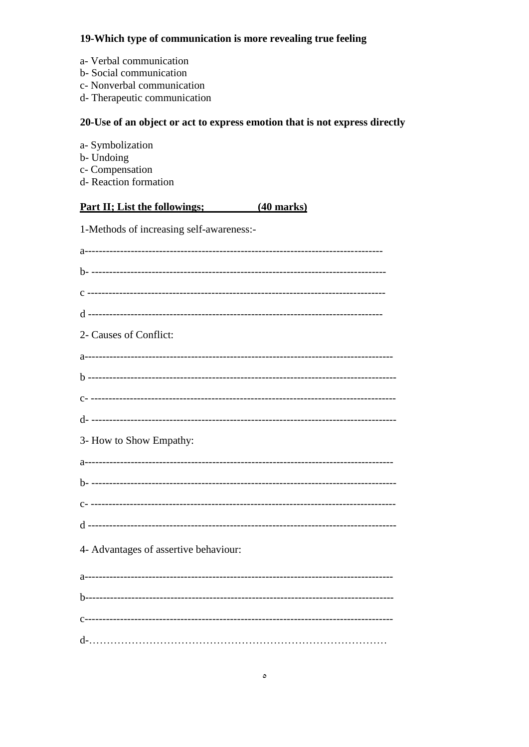# 19-Which type of communication is more revealing true feeling

- a- Verbal communication
- b-Social communication
- c- Nonverbal communication
- d- Therapeutic communication

# 20-Use of an object or act to express emotion that is not express directly

- a-Symbolization
- b- Undoing
- c- Compensation
- d-Reaction formation

#### **Part II; List the followings;**  $(40$  marks)

1-Methods of increasing self-awareness:-

| 2- Causes of Conflict:                |
|---------------------------------------|
|                                       |
|                                       |
|                                       |
|                                       |
| 3- How to Show Empathy:               |
|                                       |
|                                       |
|                                       |
|                                       |
| 4- Advantages of assertive behaviour: |
|                                       |
|                                       |
|                                       |
|                                       |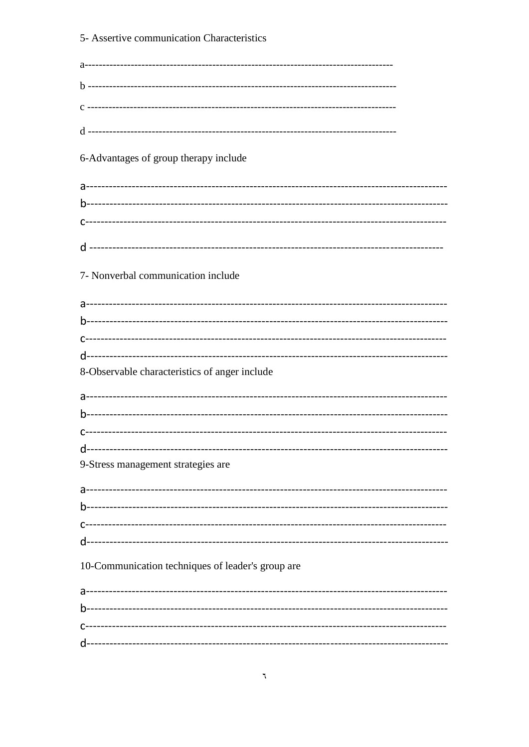| 5- Assertive communication Characteristics        |
|---------------------------------------------------|
|                                                   |
|                                                   |
|                                                   |
|                                                   |
|                                                   |
| 6-Advantages of group therapy include             |
|                                                   |
|                                                   |
|                                                   |
|                                                   |
|                                                   |
| 7- Nonverbal communication include                |
|                                                   |
|                                                   |
|                                                   |
|                                                   |
| 8-Observable characteristics of anger include     |
|                                                   |
|                                                   |
|                                                   |
|                                                   |
| 9-Stress management strategies are                |
|                                                   |
|                                                   |
|                                                   |
|                                                   |
| 10-Communication techniques of leader's group are |
|                                                   |
|                                                   |
|                                                   |
|                                                   |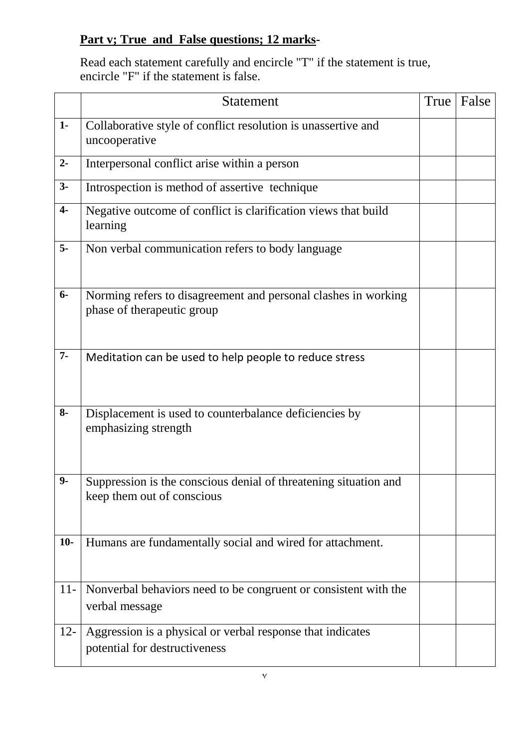# **Part v; True and False questions; 12 marks-**

Read each statement carefully and encircle "T" if the statement is true, encircle "F" if the statement is false.

|                | Statement                                                                                      | True | False |
|----------------|------------------------------------------------------------------------------------------------|------|-------|
| $1 -$          | Collaborative style of conflict resolution is unassertive and<br>uncooperative                 |      |       |
| $2-$           | Interpersonal conflict arise within a person                                                   |      |       |
| $3-$           | Introspection is method of assertive technique                                                 |      |       |
| $\overline{4}$ | Negative outcome of conflict is clarification views that build<br>learning                     |      |       |
| $5-$           | Non verbal communication refers to body language                                               |      |       |
| $6-$           | Norming refers to disagreement and personal clashes in working<br>phase of therapeutic group   |      |       |
| $7-$           | Meditation can be used to help people to reduce stress                                         |      |       |
| $8-$           | Displacement is used to counterbalance deficiencies by<br>emphasizing strength                 |      |       |
| $9-$           | Suppression is the conscious denial of threatening situation and<br>keep them out of conscious |      |       |
| $10-$          | Humans are fundamentally social and wired for attachment.                                      |      |       |
| $11-$          | Nonverbal behaviors need to be congruent or consistent with the<br>verbal message              |      |       |
| $12 -$         | Aggression is a physical or verbal response that indicates<br>potential for destructiveness    |      |       |